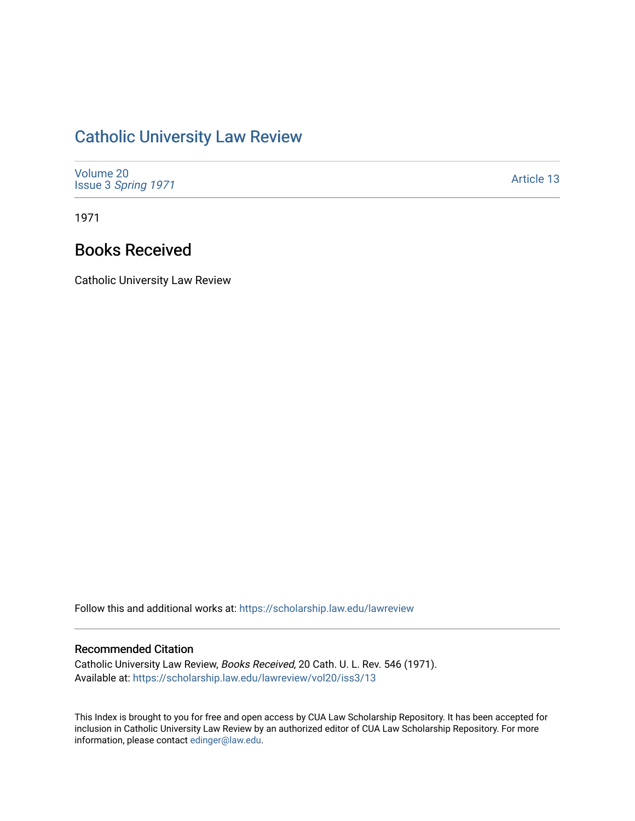## [Catholic University Law Review](https://scholarship.law.edu/lawreview)

| Volume 20<br>Issue 3 Spring 1971 | Article 13 |
|----------------------------------|------------|
|----------------------------------|------------|

1971

## Books Received

Catholic University Law Review

Follow this and additional works at: [https://scholarship.law.edu/lawreview](https://scholarship.law.edu/lawreview?utm_source=scholarship.law.edu%2Flawreview%2Fvol20%2Fiss3%2F13&utm_medium=PDF&utm_campaign=PDFCoverPages)

## Recommended Citation

Catholic University Law Review, Books Received, 20 Cath. U. L. Rev. 546 (1971). Available at: [https://scholarship.law.edu/lawreview/vol20/iss3/13](https://scholarship.law.edu/lawreview/vol20/iss3/13?utm_source=scholarship.law.edu%2Flawreview%2Fvol20%2Fiss3%2F13&utm_medium=PDF&utm_campaign=PDFCoverPages) 

This Index is brought to you for free and open access by CUA Law Scholarship Repository. It has been accepted for inclusion in Catholic University Law Review by an authorized editor of CUA Law Scholarship Repository. For more information, please contact [edinger@law.edu.](mailto:edinger@law.edu)